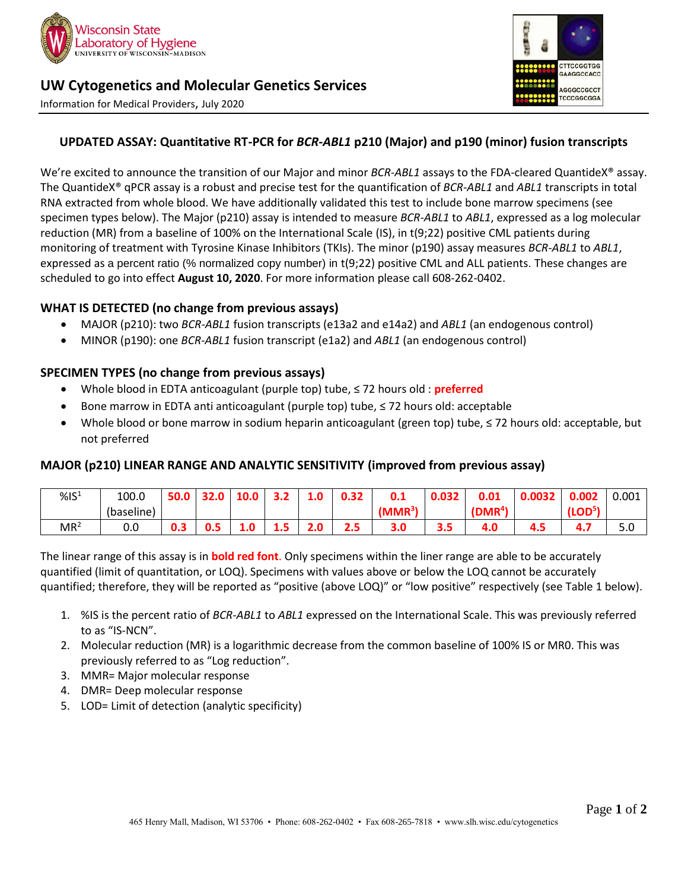

# **UW Cytogenetics and Molecular Genetics Services**

Information for Medical Providers, July 2020



## **UPDATED ASSAY: Quantitative RT-PCR for** *BCR-ABL1* **p210 (Major) and p190 (minor) fusion transcripts**

We're excited to announce the transition of our Major and minor *BCR-ABL1* assays to the FDA-cleared QuantideX® assay. The QuantideX® qPCR assay is a robust and precise test for the quantification of *BCR-ABL1* and *ABL1* transcripts in total RNA extracted from whole blood. We have additionally validated this test to include bone marrow specimens (see specimen types below). The Major (p210) assay is intended to measure *BCR-ABL1* to *ABL1*, expressed as a log molecular reduction (MR) from a baseline of 100% on the International Scale (IS), in t(9;22) positive CML patients during monitoring of treatment with Tyrosine Kinase Inhibitors (TKIs). The minor (p190) assay measures *BCR-ABL1* to *ABL1*, expressed as a percent ratio (% normalized copy number) in t(9;22) positive CML and ALL patients. These changes are scheduled to go into effect **August 10, 2020**. For more information please call 608-262-0402.

#### **WHAT IS DETECTED (no change from previous assays)**

- MAJOR (p210): two *BCR-ABL1* fusion transcripts (e13a2 and e14a2) and *ABL1* (an endogenous control)
- MINOR (p190): one *BCR-ABL1* fusion transcript (e1a2) and *ABL1* (an endogenous control)

#### **SPECIMEN TYPES (no change from previous assays)**

- Whole blood in EDTA anticoagulant (purple top) tube, ≤ 72 hours old : **preferred**
- Bone marrow in EDTA anti anticoagulant (purple top) tube, ≤ 72 hours old: acceptable
- Whole blood or bone marrow in sodium heparin anticoagulant (green top) tube, ≤ 72 hours old: acceptable, but not preferred

#### **MAJOR (p210) LINEAR RANGE AND ANALYTIC SENSITIVITY (improved from previous assay)**

| %S <sup>1</sup> | 100.0      | cΛ |    |     | 3.Z | 1.u | 0.32 | 0.1       | 0.032 | 0.01                | U.UU5Z | 0.002               | 0.001 |
|-----------------|------------|----|----|-----|-----|-----|------|-----------|-------|---------------------|--------|---------------------|-------|
|                 | (baseline) |    |    |     |     |     |      | $(MMR^3)$ |       | (DMR <sup>4</sup> ) |        | (LOD <sup>5</sup> ) |       |
| MR <sup>2</sup> | 0.0        | υ. | υæ | 1.0 | 1.J | 2.0 | 2.5  | 3.0       | 3.5   | <b>T.V</b>          | 4.5    | T . 7               | 5.U   |

The linear range of this assay is in **bold red font**. Only specimens within the liner range are able to be accurately quantified (limit of quantitation, or LOQ). Specimens with values above or below the LOQ cannot be accurately quantified; therefore, they will be reported as "positive (above LOQ)" or "low positive" respectively (see Table 1 below).

- 1. %IS is the percent ratio of *BCR-ABL1* to *ABL1* expressed on the International Scale. This was previously referred to as "IS-NCN".
- 2. Molecular reduction (MR) is a logarithmic decrease from the common baseline of 100% IS or MR0. This was previously referred to as "Log reduction".
- 3. MMR= Major molecular response
- 4. DMR= Deep molecular response
- 5. LOD= Limit of detection (analytic specificity)